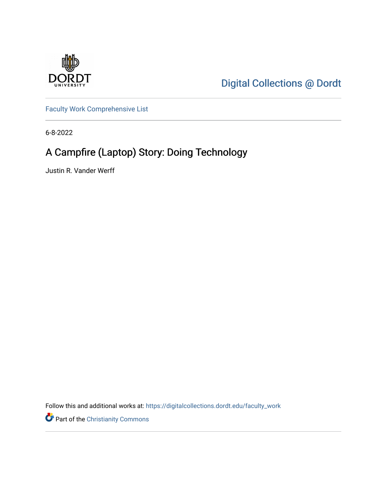

[Digital Collections @ Dordt](https://digitalcollections.dordt.edu/) 

[Faculty Work Comprehensive List](https://digitalcollections.dordt.edu/faculty_work)

6-8-2022

# A Campfire (Laptop) Story: Doing Technology

Justin R. Vander Werff

Follow this and additional works at: [https://digitalcollections.dordt.edu/faculty\\_work](https://digitalcollections.dordt.edu/faculty_work?utm_source=digitalcollections.dordt.edu%2Ffaculty_work%2F1393&utm_medium=PDF&utm_campaign=PDFCoverPages) 

Part of the [Christianity Commons](https://network.bepress.com/hgg/discipline/1181?utm_source=digitalcollections.dordt.edu%2Ffaculty_work%2F1393&utm_medium=PDF&utm_campaign=PDFCoverPages)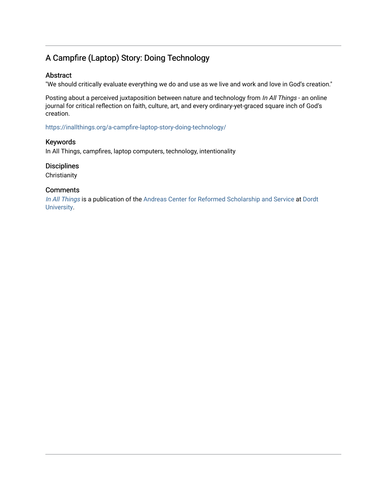# A Campfire (Laptop) Story: Doing Technology

#### Abstract

"We should critically evaluate everything we do and use as we live and work and love in God's creation."

Posting about a perceived juxtaposition between nature and technology from In All Things - an online journal for critical reflection on faith, culture, art, and every ordinary-yet-graced square inch of God's creation.

<https://inallthings.org/a-campfire-laptop-story-doing-technology/>

#### Keywords

In All Things, campfires, laptop computers, technology, intentionality

#### **Disciplines**

**Christianity** 

#### **Comments**

[In All Things](http://inallthings.org/) is a publication of the [Andreas Center for Reformed Scholarship and Service](http://www.dordt.edu/services_support/andreas_center/) at Dordt [University](http://www.dordt.edu/).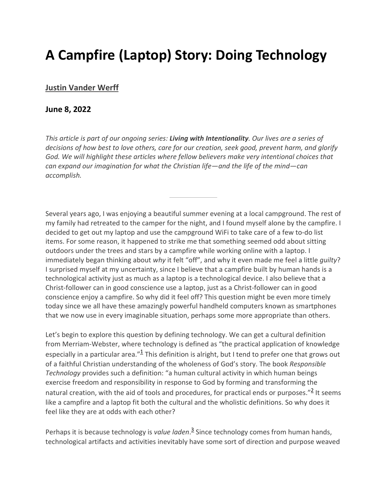# **A Campfire (Laptop) Story: Doing Technology**

## **Justin Vander Werff**

### **June 8, 2022**

*This article is part of our ongoing series: Living with Intentionality. Our lives are a series of decisions of how best to love others, care for our creation, seek good, prevent harm, and glorify*  God. We will highlight these articles where fellow believers make very intentional choices that *can expand our imagination for what the Christian life—and the life of the mind—can accomplish.*

Several years ago, I was enjoying a beautiful summer evening at a local campground. The rest of my family had retreated to the camper for the night, and I found myself alone by the campfire. I decided to get out my laptop and use the campground WiFi to take care of a few to-do list items. For some reason, it happened to strike me that something seemed odd about sitting outdoors under the trees and stars by a campfire while working online with a laptop. I immediately began thinking about *why* it felt "off", and why it even made me feel a little *guilty*? I surprised myself at my uncertainty, since I believe that a campfire built by human hands is a technological activity just as much as a laptop is a technological device. I also believe that a Christ-follower can in good conscience use a laptop, just as a Christ-follower can in good conscience enjoy a campfire. So why did it feel off? This question might be even more timely today since we all have these amazingly powerful handheld computers known as smartphones that we now use in every imaginable situation, perhaps some more appropriate than others.

Let's begin to explore this question by defining technology. We can get a cultural definition from Merriam-Webster, where technology is defined as "the practical application of knowledge especially in a particular area." $\frac{1}{2}$  This definition is alright, but I tend to prefer one that grows out of a faithful Christian understanding of the wholeness of God's story. The book *Responsible Technology* provides such a definition: "a human cultural activity in which human beings exercise freedom and responsibility in response to God by forming and transforming the natural creation, with the aid of tools and procedures, for practical ends or purposes." $\frac{2}{3}$  It seems like a campfire and a laptop fit both the cultural and the wholistic definitions. So why does it feel like they are at odds with each other?

Perhaps it is because technology is *value laden*.<sup>3</sup> Since technology comes from human hands, technological artifacts and activities inevitably have some sort of direction and purpose weaved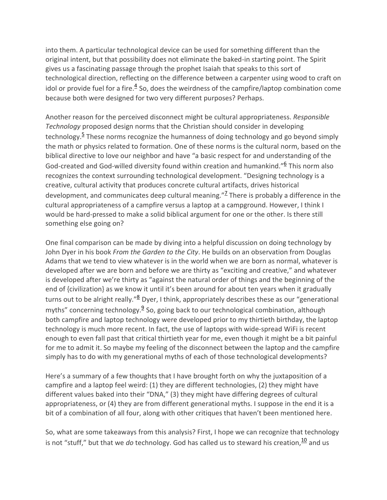into them. A particular technological device can be used for something different than the original intent, but that possibility does not eliminate the baked-in starting point. The Spirit gives us a fascinating passage through the prophet Isaiah that speaks to this sort of technological direction, reflecting on the difference between a carpenter using wood to craft on idol or provide fuel for a fire. $4$  So, does the weirdness of the campfire/laptop combination come because both were designed for two very different purposes? Perhaps.

Another reason for the perceived disconnect might be cultural appropriateness. *Responsible Technology* proposed design norms that the Christian should consider in developing technology.<sup>5</sup> These norms recognize the humanness of doing technology and go beyond simply the math or physics related to formation. One of these norms is the cultural norm, based on the biblical directive to love our neighbor and have "a basic respect for and understanding of the God-created and God-willed diversity found within creation and humankind." $6$  This norm also recognizes the context surrounding technological development. "Designing technology is a creative, cultural activity that produces concrete cultural artifacts, drives historical development, and communicates deep cultural meaning."<sup>7</sup> There is probably a difference in the cultural appropriateness of a campfire versus a laptop at a campground. However, I think I would be hard-pressed to make a solid biblical argument for one or the other. Is there still something else going on?

One final comparison can be made by diving into a helpful discussion on doing technology by John Dyer in his book *From the Garden to the City*. He builds on an observation from Douglas Adams that we tend to view whatever is in the world when we are born as normal, whatever is developed after we are born and before we are thirty as "exciting and creative," and whatever is developed after we're thirty as "against the natural order of things and the beginning of the end of {civilization} as we know it until it's been around for about ten years when it gradually turns out to be alright really."<sup>8</sup> Dyer, I think, appropriately describes these as our "generational myths" concerning technology. $\frac{9}{5}$  So, going back to our technological combination, although both campfire and laptop technology were developed prior to my thirtieth birthday, the laptop technology is much more recent. In fact, the use of laptops with wide-spread WiFi is recent enough to even fall past that critical thirtieth year for me, even though it might be a bit painful for me to admit it. So maybe my feeling of the disconnect between the laptop and the campfire simply has to do with my generational myths of each of those technological developments?

Here's a summary of a few thoughts that I have brought forth on why the juxtaposition of a campfire and a laptop feel weird: (1) they are different technologies, (2) they might have different values baked into their "DNA," (3) they might have differing degrees of cultural appropriateness, or (4) they are from different generational myths. I suppose in the end it is a bit of a combination of all four, along with other critiques that haven't been mentioned here.

So, what are some takeaways from this analysis? First, I hope we can recognize that technology is not "stuff," but that we *do* technology. God has called us to steward his creation, <sup>10</sup> and us